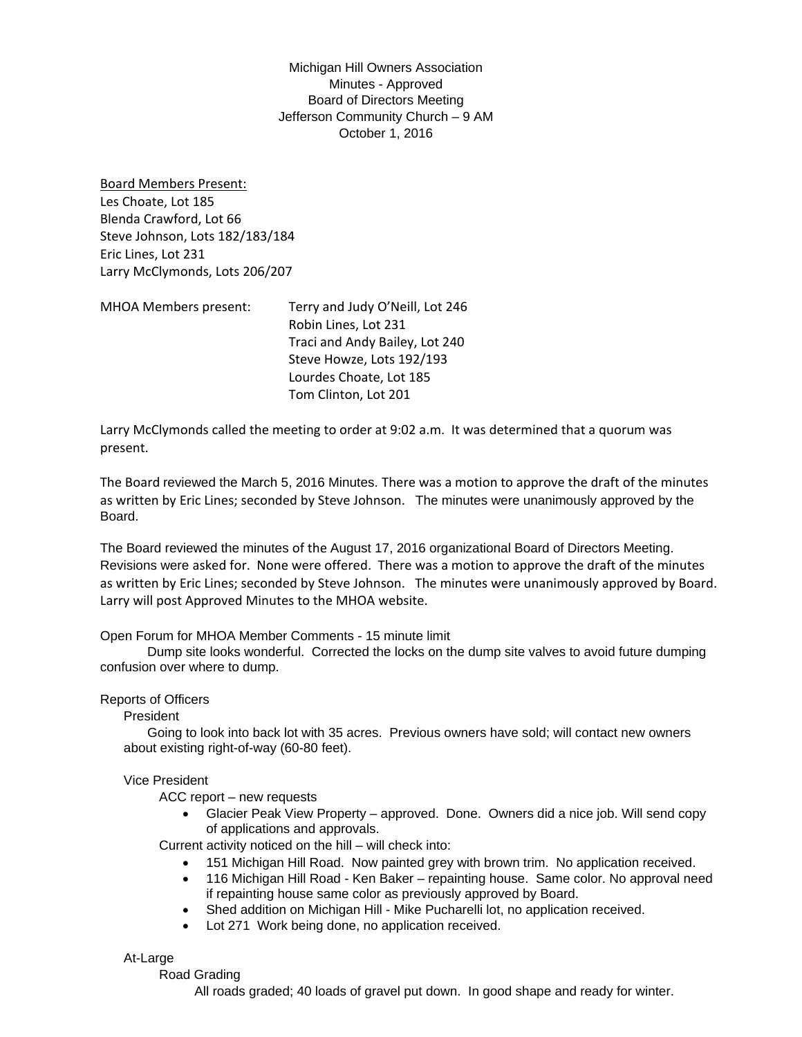Michigan Hill Owners Association Minutes - Approved Board of Directors Meeting Jefferson Community Church – 9 AM October 1, 2016

Board Members Present: Les Choate, Lot 185 Blenda Crawford, Lot 66 Steve Johnson, Lots 182/183/184 Eric Lines, Lot 231 Larry McClymonds, Lots 206/207

MHOA Members present: Terry and Judy O'Neill, Lot 246 Robin Lines, Lot 231 Traci and Andy Bailey, Lot 240 Steve Howze, Lots 192/193 Lourdes Choate, Lot 185 Tom Clinton, Lot 201

Larry McClymonds called the meeting to order at 9:02 a.m. It was determined that a quorum was present.

The Board reviewed the March 5, 2016 Minutes. There was a motion to approve the draft of the minutes as written by Eric Lines; seconded by Steve Johnson. The minutes were unanimously approved by the Board.

The Board reviewed the minutes of the August 17, 2016 organizational Board of Directors Meeting. Revisions were asked for. None were offered. There was a motion to approve the draft of the minutes as written by Eric Lines; seconded by Steve Johnson. The minutes were unanimously approved by Board. Larry will post Approved Minutes to the MHOA website.

# Open Forum for MHOA Member Comments - 15 minute limit

 Dump site looks wonderful. Corrected the locks on the dump site valves to avoid future dumping confusion over where to dump.

# Reports of Officers

President

 Going to look into back lot with 35 acres. Previous owners have sold; will contact new owners about existing right-of-way (60-80 feet).

# Vice President

ACC report – new requests

• Glacier Peak View Property – approved. Done. Owners did a nice job. Will send copy of applications and approvals.

Current activity noticed on the hill – will check into:

- 151 Michigan Hill Road. Now painted grey with brown trim. No application received.
- 116 Michigan Hill Road Ken Baker repainting house. Same color. No approval need if repainting house same color as previously approved by Board.
- Shed addition on Michigan Hill Mike Pucharelli lot, no application received.
- Lot 271 Work being done, no application received.

#### At-Large

#### Road Grading

All roads graded; 40 loads of gravel put down. In good shape and ready for winter.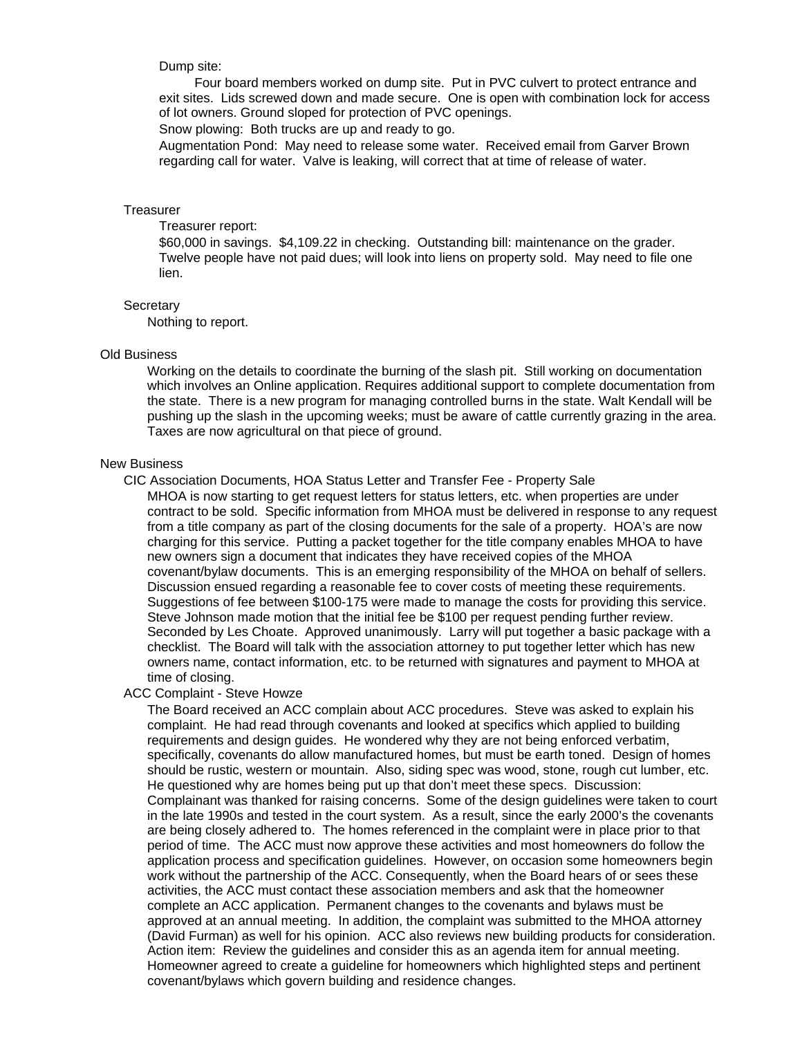# Dump site:

 Four board members worked on dump site. Put in PVC culvert to protect entrance and exit sites. Lids screwed down and made secure. One is open with combination lock for access of lot owners. Ground sloped for protection of PVC openings.

Snow plowing: Both trucks are up and ready to go.

Augmentation Pond: May need to release some water. Received email from Garver Brown regarding call for water. Valve is leaking, will correct that at time of release of water.

#### **Treasurer**

Treasurer report:

\$60,000 in savings. \$4,109.22 in checking. Outstanding bill: maintenance on the grader. Twelve people have not paid dues; will look into liens on property sold. May need to file one lien.

#### **Secretary**

Nothing to report.

# Old Business

Working on the details to coordinate the burning of the slash pit. Still working on documentation which involves an Online application. Requires additional support to complete documentation from the state. There is a new program for managing controlled burns in the state. Walt Kendall will be pushing up the slash in the upcoming weeks; must be aware of cattle currently grazing in the area. Taxes are now agricultural on that piece of ground.

# New Business

CIC Association Documents, HOA Status Letter and Transfer Fee - Property Sale

MHOA is now starting to get request letters for status letters, etc. when properties are under contract to be sold. Specific information from MHOA must be delivered in response to any request from a title company as part of the closing documents for the sale of a property. HOA's are now charging for this service. Putting a packet together for the title company enables MHOA to have new owners sign a document that indicates they have received copies of the MHOA covenant/bylaw documents. This is an emerging responsibility of the MHOA on behalf of sellers. Discussion ensued regarding a reasonable fee to cover costs of meeting these requirements. Suggestions of fee between \$100-175 were made to manage the costs for providing this service. Steve Johnson made motion that the initial fee be \$100 per request pending further review. Seconded by Les Choate. Approved unanimously. Larry will put together a basic package with a checklist. The Board will talk with the association attorney to put together letter which has new owners name, contact information, etc. to be returned with signatures and payment to MHOA at time of closing.

## ACC Complaint - Steve Howze

The Board received an ACC complain about ACC procedures. Steve was asked to explain his complaint. He had read through covenants and looked at specifics which applied to building requirements and design guides. He wondered why they are not being enforced verbatim, specifically, covenants do allow manufactured homes, but must be earth toned. Design of homes should be rustic, western or mountain. Also, siding spec was wood, stone, rough cut lumber, etc. He questioned why are homes being put up that don't meet these specs. Discussion: Complainant was thanked for raising concerns. Some of the design guidelines were taken to court in the late 1990s and tested in the court system. As a result, since the early 2000's the covenants are being closely adhered to. The homes referenced in the complaint were in place prior to that period of time. The ACC must now approve these activities and most homeowners do follow the application process and specification guidelines. However, on occasion some homeowners begin work without the partnership of the ACC. Consequently, when the Board hears of or sees these activities, the ACC must contact these association members and ask that the homeowner complete an ACC application. Permanent changes to the covenants and bylaws must be approved at an annual meeting. In addition, the complaint was submitted to the MHOA attorney (David Furman) as well for his opinion. ACC also reviews new building products for consideration. Action item: Review the guidelines and consider this as an agenda item for annual meeting. Homeowner agreed to create a guideline for homeowners which highlighted steps and pertinent covenant/bylaws which govern building and residence changes.